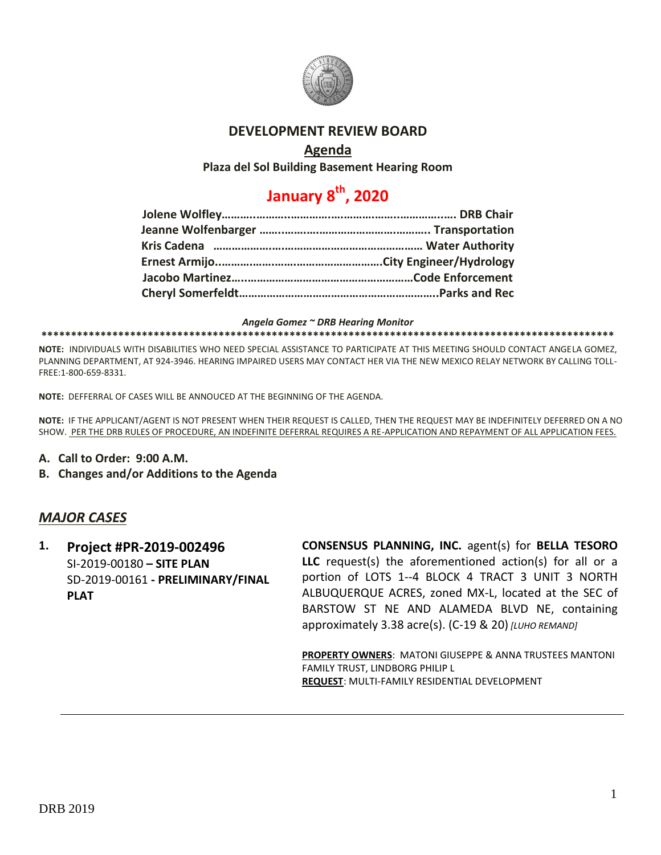

### **DEVELOPMENT REVIEW BOARD**

### **Agenda**

**Plaza del Sol Building Basement Hearing Room**

# **January 8th, 2020**

#### *Angela Gomez ~ DRB Hearing Monitor*

#### **\*\*\*\*\*\*\*\*\*\*\*\*\*\*\*\*\*\*\*\*\*\*\*\*\*\*\*\*\*\*\*\*\*\*\*\*\*\*\*\*\*\*\*\*\*\*\*\*\*\*\*\*\*\*\*\*\*\*\*\*\*\*\*\*\*\*\*\*\*\*\*\*\*\*\*\*\*\*\*\*\*\*\*\*\*\*\*\*\*\*\*\*\*\*\*\*\***

**NOTE:** INDIVIDUALS WITH DISABILITIES WHO NEED SPECIAL ASSISTANCE TO PARTICIPATE AT THIS MEETING SHOULD CONTACT ANGELA GOMEZ, PLANNING DEPARTMENT, AT 924-3946. HEARING IMPAIRED USERS MAY CONTACT HER VIA THE NEW MEXICO RELAY NETWORK BY CALLING TOLL-FREE:1-800-659-8331.

**NOTE:** DEFFERRAL OF CASES WILL BE ANNOUCED AT THE BEGINNING OF THE AGENDA.

**NOTE:** IF THE APPLICANT/AGENT IS NOT PRESENT WHEN THEIR REQUEST IS CALLED, THEN THE REQUEST MAY BE INDEFINITELY DEFERRED ON A NO SHOW. PER THE DRB RULES OF PROCEDURE, AN INDEFINITE DEFERRAL REQUIRES A RE-APPLICATION AND REPAYMENT OF ALL APPLICATION FEES.

- **A. Call to Order: 9:00 A.M.**
- **B. Changes and/or Additions to the Agenda**

### *MAJOR CASES*

**1. Project #PR-2019-002496** SI-2019-00180 **– SITE PLAN** SD-2019-00161 **- PRELIMINARY/FINAL PLAT**

**CONSENSUS PLANNING, INC.** agent(s) for **BELLA TESORO LLC** request(s) the aforementioned action(s) for all or a portion of LOTS 1--4 BLOCK 4 TRACT 3 UNIT 3 NORTH ALBUQUERQUE ACRES, zoned MX-L, located at the SEC of BARSTOW ST NE AND ALAMEDA BLVD NE, containing approximately 3.38 acre(s). (C-19 & 20) *[LUHO REMAND]*

**PROPERTY OWNERS**: MATONI GIUSEPPE & ANNA TRUSTEES MANTONI FAMILY TRUST, LINDBORG PHILIP L **REQUEST**: MULTI-FAMILY RESIDENTIAL DEVELOPMENT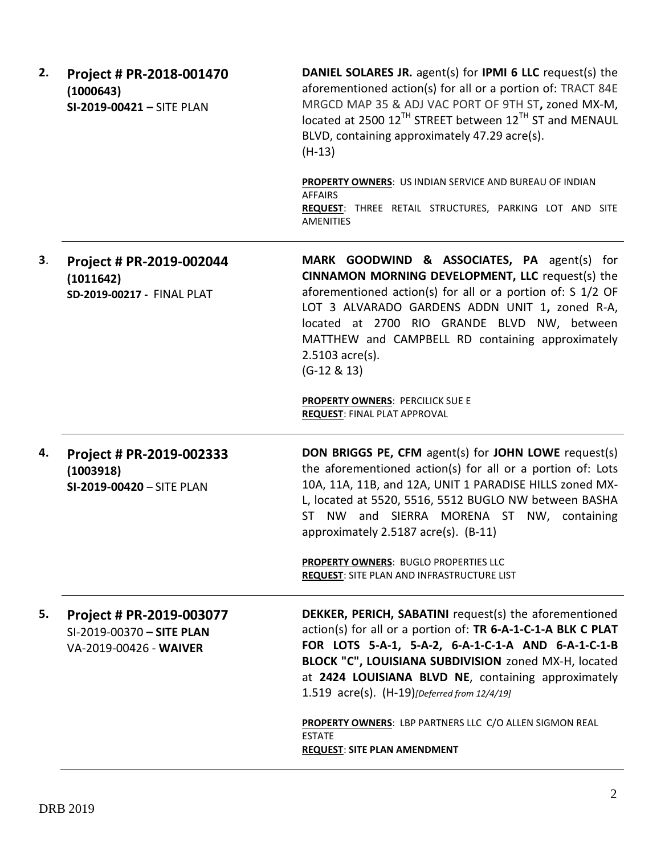| 2. | Project # PR-2018-001470<br>(1000643)<br>SI-2019-00421 - SITE PLAN              | DANIEL SOLARES JR. agent(s) for IPMI 6 LLC request(s) the<br>aforementioned action(s) for all or a portion of: TRACT 84E<br>MRGCD MAP 35 & ADJ VAC PORT OF 9TH ST, zoned MX-M,<br>located at 2500 12 <sup>TH</sup> STREET between 12 <sup>TH</sup> ST and MENAUL<br>BLVD, containing approximately 47.29 acre(s).<br>$(H-13)$                              |
|----|---------------------------------------------------------------------------------|------------------------------------------------------------------------------------------------------------------------------------------------------------------------------------------------------------------------------------------------------------------------------------------------------------------------------------------------------------|
|    |                                                                                 | PROPERTY OWNERS: US INDIAN SERVICE AND BUREAU OF INDIAN<br><b>AFFAIRS</b><br>REQUEST: THREE RETAIL STRUCTURES, PARKING LOT AND SITE<br><b>AMENITIES</b>                                                                                                                                                                                                    |
| 3. | Project # PR-2019-002044<br>(1011642)<br>SD-2019-00217 - FINAL PLAT             | MARK GOODWIND & ASSOCIATES, PA agent(s) for<br>CINNAMON MORNING DEVELOPMENT, LLC request(s) the<br>aforementioned action(s) for all or a portion of: S 1/2 OF<br>LOT 3 ALVARADO GARDENS ADDN UNIT 1, zoned R-A,<br>located at 2700 RIO GRANDE BLVD NW, between<br>MATTHEW and CAMPBELL RD containing approximately<br>2.5103 acre(s).<br>$(G-12 & 8 & 13)$ |
|    |                                                                                 | <b>PROPERTY OWNERS: PERCILICK SUE E</b><br><b>REQUEST: FINAL PLAT APPROVAL</b>                                                                                                                                                                                                                                                                             |
| 4. | Project # PR-2019-002333<br>(1003918)<br>SI-2019-00420 - SITE PLAN              | <b>DON BRIGGS PE, CFM agent(s) for JOHN LOWE request(s)</b><br>the aforementioned action(s) for all or a portion of: Lots<br>10A, 11A, 11B, and 12A, UNIT 1 PARADISE HILLS zoned MX-<br>L, located at 5520, 5516, 5512 BUGLO NW between BASHA<br>ST NW and SIERRA MORENA ST NW, containing<br>approximately 2.5187 acre(s). (B-11)                         |
|    |                                                                                 | PROPERTY OWNERS: BUGLO PROPERTIES LLC<br><b>REQUEST: SITE PLAN AND INFRASTRUCTURE LIST</b>                                                                                                                                                                                                                                                                 |
| 5. | Project # PR-2019-003077<br>SI-2019-00370 - SITE PLAN<br>VA-2019-00426 - WAIVER | DEKKER, PERICH, SABATINI request(s) the aforementioned<br>action(s) for all or a portion of: TR 6-A-1-C-1-A BLK C PLAT<br>FOR LOTS 5-A-1, 5-A-2, 6-A-1-C-1-A AND 6-A-1-C-1-B<br>BLOCK "C", LOUISIANA SUBDIVISION zoned MX-H, located<br>at 2424 LOUISIANA BLVD NE, containing approximately<br>1.519 acre(s). (H-19)[Deferred from 12/4/19]                |
|    |                                                                                 | PROPERTY OWNERS: LBP PARTNERS LLC C/O ALLEN SIGMON REAL<br><b>ESTATE</b><br><b>REQUEST: SITE PLAN AMENDMENT</b>                                                                                                                                                                                                                                            |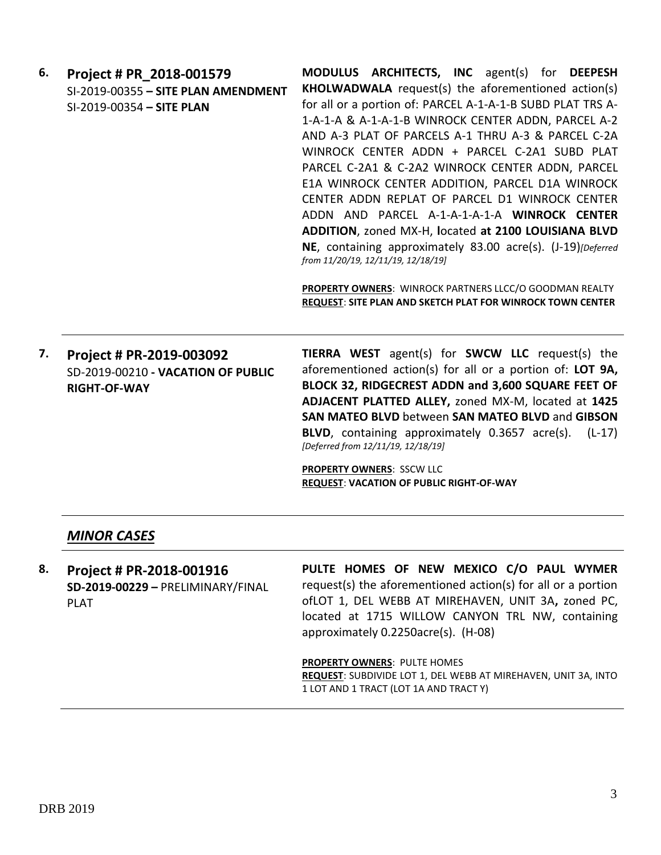| 6. | Project # PR 2018-001579                                       | <b>MODULUS ARCHITECTS, INC agent(s) for DEEPESH</b>                                                                          |
|----|----------------------------------------------------------------|------------------------------------------------------------------------------------------------------------------------------|
|    | SI-2019-00355 - SITE PLAN AMENDMENT                            | <b>KHOLWADWALA</b> request(s) the aforementioned action(s)                                                                   |
|    | SI-2019-00354 - SITE PLAN                                      | for all or a portion of: PARCEL A-1-A-1-B SUBD PLAT TRS A-                                                                   |
|    |                                                                | 1-A-1-A & A-1-A-1-B WINROCK CENTER ADDN, PARCEL A-2                                                                          |
|    |                                                                | AND A-3 PLAT OF PARCELS A-1 THRU A-3 & PARCEL C-2A                                                                           |
|    |                                                                | WINROCK CENTER ADDN + PARCEL C-2A1 SUBD PLAT                                                                                 |
|    |                                                                | PARCEL C-2A1 & C-2A2 WINROCK CENTER ADDN, PARCEL                                                                             |
|    |                                                                | E1A WINROCK CENTER ADDITION, PARCEL D1A WINROCK                                                                              |
|    |                                                                | CENTER ADDN REPLAT OF PARCEL D1 WINROCK CENTER                                                                               |
|    |                                                                | ADDN AND PARCEL A-1-A-1-A-1-A WINROCK CENTER                                                                                 |
|    |                                                                | ADDITION, zoned MX-H, located at 2100 LOUISIANA BLVD                                                                         |
|    |                                                                | NE, containing approximately 83.00 acre(s). (J-19)[Deferred]<br>from 11/20/19, 12/11/19, 12/18/19]                           |
|    |                                                                | PROPERTY OWNERS: WINROCK PARTNERS LLCC/O GOODMAN REALTY<br><b>REQUEST: SITE PLAN AND SKETCH PLAT FOR WINROCK TOWN CENTER</b> |
| 7. | Project # PR-2019-003092<br>SD-2019-00210 - VACATION OF PUBLIC | <b>TIERRA WEST</b> agent(s) for <b>SWCW LLC</b> request(s) the<br>aforementioned action(s) for all or a portion of: LOT 9A,  |
|    | <b>RIGHT-OF-WAY</b>                                            | BLOCK 32, RIDGECREST ADDN and 3,600 SQUARE FEET OF<br>ADIACENT DIATTED ALLEY zoned MY-M located at 1425                      |

**ADJACENT PLATTED ALLEY,** zoned MX-M, located at **1425 SAN MATEO BLVD** between **SAN MATEO BLVD** and **GIBSON BLVD**, containing approximately 0.3657 acre(s). (L-17) *[Deferred from 12/11/19, 12/18/19]*

**PROPERTY OWNERS**: SSCW LLC **REQUEST**: **VACATION OF PUBLIC RIGHT-OF-WAY**

### *MINOR CASES*

**8. Project # PR-2018-001916 SD-2019-00229 –** PRELIMINARY/FINAL PLAT

**PULTE HOMES OF NEW MEXICO C/O PAUL WYMER** request(s) the aforementioned action(s) for all or a portion ofLOT 1, DEL WEBB AT MIREHAVEN, UNIT 3A**,** zoned PC, located at 1715 WILLOW CANYON TRL NW, containing approximately 0.2250acre(s). (H-08)

**PROPERTY OWNERS**: PULTE HOMES **REQUEST**: SUBDIVIDE LOT 1, DEL WEBB AT MIREHAVEN, UNIT 3A, INTO 1 LOT AND 1 TRACT (LOT 1A AND TRACT Y)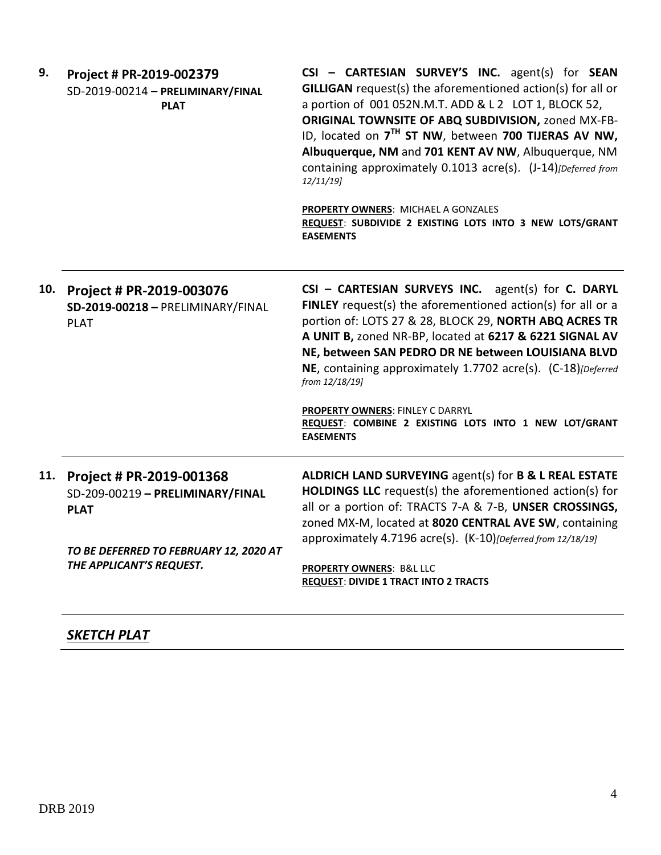| 9.  | Project # PR-2019-002379<br>SD-2019-00214 - PRELIMINARY/FINAL<br><b>PLAT</b>                                                                      | CSI - CARTESIAN SURVEY'S INC. agent(s) for SEAN<br>GILLIGAN request(s) the aforementioned action(s) for all or<br>a portion of 001 052N.M.T. ADD & L 2 LOT 1, BLOCK 52,<br>ORIGINAL TOWNSITE OF ABQ SUBDIVISION, zoned MX-FB-<br>ID, located on 7 <sup>TH</sup> ST NW, between 700 TIJERAS AV NW,<br>Albuquerque, NM and 701 KENT AV NW, Albuquerque, NM<br>containing approximately 0.1013 acre(s). (J-14)[Deferred from<br>12/11/19<br>PROPERTY OWNERS: MICHAEL A GONZALES<br>REQUEST: SUBDIVIDE 2 EXISTING LOTS INTO 3 NEW LOTS/GRANT<br><b>EASEMENTS</b> |
|-----|---------------------------------------------------------------------------------------------------------------------------------------------------|--------------------------------------------------------------------------------------------------------------------------------------------------------------------------------------------------------------------------------------------------------------------------------------------------------------------------------------------------------------------------------------------------------------------------------------------------------------------------------------------------------------------------------------------------------------|
| 10. | Project # PR-2019-003076<br>SD-2019-00218 - PRELIMINARY/FINAL<br><b>PLAT</b>                                                                      | CSI - CARTESIAN SURVEYS INC. agent(s) for C. DARYL<br>FINLEY request(s) the aforementioned action(s) for all or a<br>portion of: LOTS 27 & 28, BLOCK 29, NORTH ABQ ACRES TR<br>A UNIT B, zoned NR-BP, located at 6217 & 6221 SIGNAL AV<br>NE, between SAN PEDRO DR NE between LOUISIANA BLVD<br>NE, containing approximately 1.7702 acre(s). (C-18)[Deferred<br>from 12/18/19]<br>PROPERTY OWNERS: FINLEY C DARRYL<br>REQUEST: COMBINE 2 EXISTING LOTS INTO 1 NEW LOT/GRANT<br><b>EASEMENTS</b>                                                              |
| 11. | Project # PR-2019-001368<br>SD-209-00219 - PRELIMINARY/FINAL<br><b>PLAT</b><br>TO BE DEFERRED TO FEBRUARY 12, 2020 AT<br>THE APPLICANT'S REQUEST. | ALDRICH LAND SURVEYING agent(s) for B & L REAL ESTATE<br>HOLDINGS LLC request(s) the aforementioned action(s) for<br>all or a portion of: TRACTS 7-A & 7-B, UNSER CROSSINGS,<br>zoned MX-M, located at 8020 CENTRAL AVE SW, containing<br>approximately 4.7196 acre(s). (K-10)[Deferred from 12/18/19]<br>PROPERTY OWNERS: B&L LLC<br><b>REQUEST: DIVIDE 1 TRACT INTO 2 TRACTS</b>                                                                                                                                                                           |

## *SKETCH PLAT*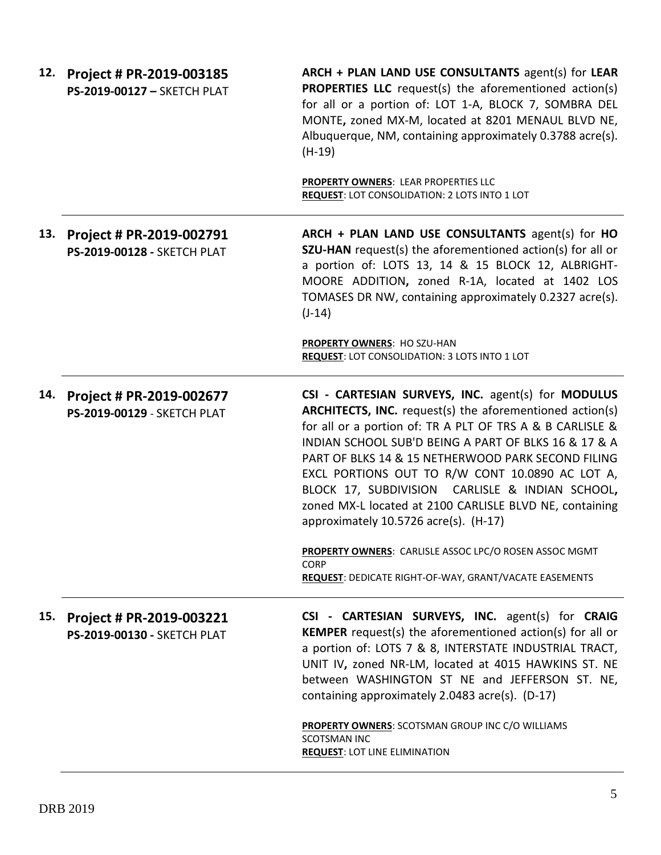|     | 12. Project # PR-2019-003185<br>PS-2019-00127 - SKETCH PLAT | ARCH + PLAN LAND USE CONSULTANTS agent(s) for LEAR<br><b>PROPERTIES LLC</b> request(s) the aforementioned action(s)<br>for all or a portion of: LOT 1-A, BLOCK 7, SOMBRA DEL<br>MONTE, zoned MX-M, located at 8201 MENAUL BLVD NE,<br>Albuquerque, NM, containing approximately 0.3788 acre(s).<br>$(H-19)$                                                                                                                                                                                                |
|-----|-------------------------------------------------------------|------------------------------------------------------------------------------------------------------------------------------------------------------------------------------------------------------------------------------------------------------------------------------------------------------------------------------------------------------------------------------------------------------------------------------------------------------------------------------------------------------------|
|     |                                                             | PROPERTY OWNERS: LEAR PROPERTIES LLC<br>REQUEST: LOT CONSOLIDATION: 2 LOTS INTO 1 LOT                                                                                                                                                                                                                                                                                                                                                                                                                      |
| 13. | Project # PR-2019-002791<br>PS-2019-00128 - SKETCH PLAT     | ARCH + PLAN LAND USE CONSULTANTS agent(s) for HO<br>SZU-HAN request(s) the aforementioned action(s) for all or<br>a portion of: LOTS 13, 14 & 15 BLOCK 12, ALBRIGHT-<br>MOORE ADDITION, zoned R-1A, located at 1402 LOS<br>TOMASES DR NW, containing approximately 0.2327 acre(s).<br>$(J-14)$                                                                                                                                                                                                             |
|     |                                                             | <b>PROPERTY OWNERS: HO SZU-HAN</b><br>REQUEST: LOT CONSOLIDATION: 3 LOTS INTO 1 LOT                                                                                                                                                                                                                                                                                                                                                                                                                        |
| 14. | Project # PR-2019-002677<br>PS-2019-00129 - SKETCH PLAT     | CSI - CARTESIAN SURVEYS, INC. agent(s) for MODULUS<br><b>ARCHITECTS, INC.</b> request(s) the aforementioned action(s)<br>for all or a portion of: TR A PLT OF TRS A & B CARLISLE &<br>INDIAN SCHOOL SUB'D BEING A PART OF BLKS 16 & 17 & A<br>PART OF BLKS 14 & 15 NETHERWOOD PARK SECOND FILING<br>EXCL PORTIONS OUT TO R/W CONT 10.0890 AC LOT A,<br>BLOCK 17, SUBDIVISION CARLISLE & INDIAN SCHOOL,<br>zoned MX-L located at 2100 CARLISLE BLVD NE, containing<br>approximately 10.5726 acre(s). (H-17) |
|     |                                                             | PROPERTY OWNERS: CARLISLE ASSOC LPC/O ROSEN ASSOC MGMT<br><b>CORP</b><br>REQUEST: DEDICATE RIGHT-OF-WAY, GRANT/VACATE EASEMENTS                                                                                                                                                                                                                                                                                                                                                                            |
| 15. | Project # PR-2019-003221<br>PS-2019-00130 - SKETCH PLAT     | CSI - CARTESIAN SURVEYS, INC. agent(s) for CRAIG<br><b>KEMPER</b> request(s) the aforementioned action(s) for all or<br>a portion of: LOTS 7 & 8, INTERSTATE INDUSTRIAL TRACT,<br>UNIT IV, zoned NR-LM, located at 4015 HAWKINS ST. NE<br>between WASHINGTON ST NE and JEFFERSON ST. NE,<br>containing approximately 2.0483 acre(s). (D-17)<br>PROPERTY OWNERS: SCOTSMAN GROUP INC C/O WILLIAMS<br><b>SCOTSMAN INC</b><br><b>REQUEST: LOT LINE ELIMINATION</b>                                             |